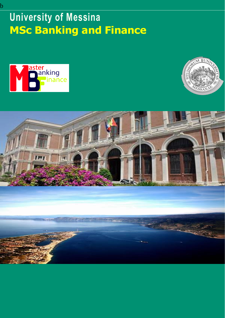# **University of Messina MSc Banking and Finance**





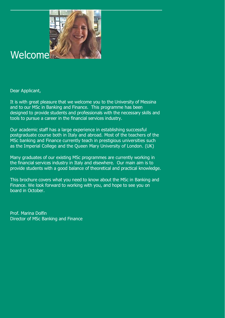

### **Welcome**

Dear Applicant,

It is with great pleasure that we welcome you to the University of Messina and to our MSc in Banking and Finance. This programme has been designed to provide students and professionals with the necessary skills and tools to pursue a career in the financial services industry.

Our academic staff has a large experience in establishing successful postgraduate course both in Italy and abroad. Most of the teachers of the MSc banking and Finance currently teach in prestigious universities such as the Imperial College and the Queen Mary University of London. (UK)

Many graduates of our existing MSc programmes are currently working in the financial services industry in Italy and elsewhere. Our main aim is to provide students with a good balance of theoretical and practical knowledge.

This brochure covers what you need to know about the MSc in Banking and Finance. We look forward to working with you, and hope to see you on board in October.

Prof. Marina Dolfin Director of MSc Banking and Finance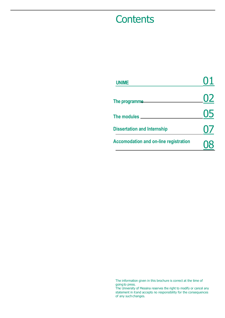### **Contents**

| <b>UNIME</b>                                 | 01        |
|----------------------------------------------|-----------|
| The programme                                | <u>U2</u> |
| The modules ____                             | 05        |
| <b>Dissertation and Internship</b>           | O/        |
| <b>Accomodation and on-line registration</b> |           |

The information given in this brochure is correct at the time of

goingto press. The University of Messina reserves the right to modify or cancel any statement in itand accepts no responsibility for the consequences of any such changes.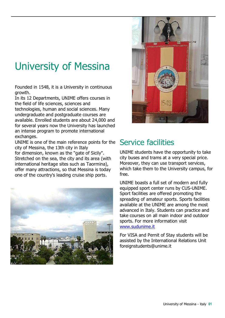# University of Messina

Founded in 1548, it is a University in continuous growth.

In its 12 Departments, UNIME offers courses in the field of life sciences, sciences and technologies, human and social sciences. Many undergraduate and postgraduate courses are available. Enrolled students are about 24,000 and for several years now the University has launched an intense program to promote international exchanges.

UNIME is one of the main reference points for the city of Messina, the 13th city in Italy for dimension, known as the "gate of Sicily". Stretched on the sea, the city and its area (with international heritage sites such as Taormina), offer many attractions, so that Messina is today one of the country's leading cruise ship ports.





#### Service facilities

UNIME students have the opportunity to take city buses and trams at a very special price. Moreover, they can use transport services, which take them to the University campus, for free.

UNIME boasts a full set of modern and fully equipped sport center runs by CUS-UNIME. Sport facilities are offered promoting the spreading of amateur sports. Sports facilities available at the UNIME are among the most advanced in Italy. Students can practice and take courses on all main indoor and outdoor sports. For more information visit [www.sudunime.it](http://www.sudunime.it/)

For VISA and Pernit of Stay students will be assisted by the International Relations Unit foreignstudents@unime.it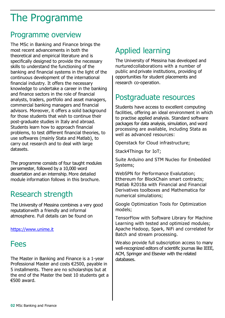## The Programme

#### Programme overview

The MSc in Banking and Finance brings the most recent advancements in both the theoretical and empirical literature and is specifically designed to provide the necessary skills to understand the functioning of the banking and financial systems in the light of the continuous development of the international financial industry. It offers the necessary knowledge to undertake a career in the banking and finance sectors in the role of financial analysts, traders, portfolio and asset managers, commercial banking managers and financial advisors. Moreover, it offers a solid background for those students that wish to continue their post-graduate studies in Italy and abroad. Students learn how to approach financial problems, to test different financial theories, to use softwares (mainly Stata and Matlab), to carry out research and to deal with large datasets.

The programme consists of four taught modules persemester, followed by a 10,000 word dissertation and an internship. More detailed module information follows in this brochure.

### Research strength

The University of Messina combines a very good reputationwith a friendly and informal atmosphere. Full details can be found on

[https://www.unime.it](https://www.unime.it/)

#### Fees

The Master in Banking and Finance is a 1-year Professional Master and costs €2500, payable in 5 installments. There are no scholarships but at the end of the Master the best 10 students get a €500 award.

### Applied learning

The University of Messina has developed and nurturedcollaborations with a number of public and private institutions, providing of opportunities for student placements and research co-operation.

### Postgraduate resources

Students have access to excellent computing facilities, offering an ideal environment in which to practise applied analysis. Standard software packages for data analysis, simulation, and word processing are available, including Stata as well as advanced resources:

Openstack for Cloud infrastructure;

Stack4Things for IoT;

Suite Arduino and STM Nucleo for Embedded Systems;

WebSPN for Performance Evalutation; Ethereum for BlockChain smart contracts; Matlab R2018a with Financial and Financial Derivatives toolboxes and Mathematica for numerical simulations;

Google Optimization Tools for Optimization models;

TensorFlow with Software Library for Machine Learning with tested and optimized modules; Apache Hadoop, Spark, NiFi and correlated for Batch and stream processing.

Wealso provide full subscription access to many well-recognized editors of scientific journas like IEEE, ACM, Springer and Elsevier with the related databases.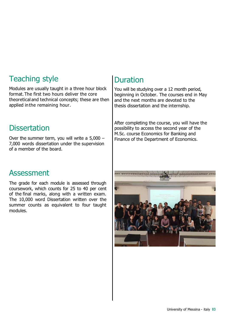### Teaching style

Modules are usually taught in a three hour block format.The first two hours deliver the core theoretical and technical concepts; these are then applied inthe remaining hour.

#### **Dissertation**

Over the summer term, you will write a 5,000 – 7,000 words dissertation under the supervision of a member of the board.

#### Duration

You will be studying over a 12 month period, beginning in October. The courses end in May and the next months are devoted to the thesis dissertation and the internship.

After completing the course, you will have the possibility to access the second year of the M.Sc. course Economics for Banking and Finance of the Department of Economics.

#### Assessment

The grade for each module is assessed through coursework, which counts for 25 to 40 per cent of the final marks, along with a written exam. The 10,000 word Dissertation written over the summer counts as equivalent to four taught modules.

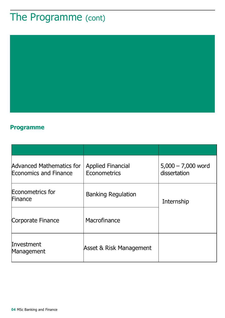## The Programme (cont)



#### **Programme**

| Advanced Mathematics for<br><b>Economics and Finance</b> | <b>Applied Financial</b><br>Econometrics | $5,000 - 7,000$ word<br>dissertation |
|----------------------------------------------------------|------------------------------------------|--------------------------------------|
| <b>Econometrics for</b><br>Finance                       | <b>Banking Regulation</b>                | Internship                           |
| Corporate Finance                                        | Macrofinance                             |                                      |
| Investment<br>Management                                 | Asset & Risk Management                  |                                      |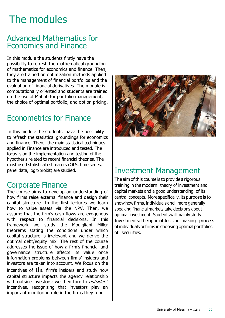## The modules

#### Advanced Mathematics for Economics and Finance

In this module the students firstly have the possibility to refresh the mathematical grounding of mathematics for economics and finance. Then, they are trained on optimization methods applied to the management of financial portfolios and the evaluation of financial derivatives. The module is computationally oriented and students are trained on the use of Matlab for portfolio management, the choice of optimal portfolio, and option pricing.

#### Econometrics for Finance

In this module the students have the possibility to refresh the statistical groundings for economics and finance. Then, the main statistical techniques applied in Finance are introduced and tested. The focus is on the implementation and testing of the hypothesis related to recent financial theories. The most used statistical estimators (OLS, time series, panel data, logit/probit) are studied.

#### Corporate Finance

The course aims to develop an understanding of how firms raise external finance and design their capital structure. In the first lectures we learn how to value assets via the NPV. Then, we assume that the firm's cash flows are exogenous with respect to financial decisions. In this framework we study the Modigliani Miller theorems stating the conditions under which capital structure is irrelevant and we derive the optimal debt/equity mix. The rest of the course addresses the issue of how a firm's financial and governance structure affects its value once information problems between firms' insiders and investors are taken into account. We focus on the incentives of the firm's insiders and study how capital structure impacts the agency relationship with outside investors; we then turn to *outsiders'* incentives, recognizing that investors play an important monitoring role in the firms they fund.



#### Investment Management

The aim of this course is to provide a rigorous training in the modern theory of investment and capital markets and a good understanding of its central concepts. Morespecifically, its purpose is to showhowfirms, individuals and more generally speaking financial markets take decisions about optimal investment. Studentswill mainlystudy Investments: theoptimal decision making process of individuals orfirms in choosing optimal portfolios of securities.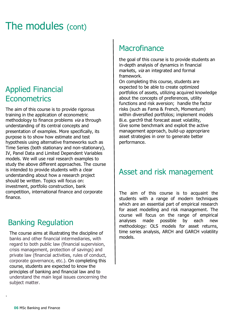## The modules (cont)

#### Applied Financial **Econometrics**

The aim of this course is to provide rigorous training in the application of econometric methodology to finance problems via a through understanding of its central concepts and presentation of examples. More specifically, its purpose is to show how estimate and test hypothesis using alternative frameworks such as Time Series (both stationary and non-stationary), IV, Panel Data and Limited Dependent Variables models. We will use real research examples to study the above different approaches. The course is intended to provide students with a clear understanding about how a research project should be written. Topics will focus on: investment, portfolio construction, bank competition, international finance and corporate finance.

#### Banking Regulation

The course aims at illustrating the discipline of banks and other financial intermediaries, with regard to both public law (financial supervision, crisis management, protection of savings) and private law (financial activities, rules of conduct, corporate governance, etc.). On completing this course, students are expected to know the principles of banking and financial law and to understand the main legal issues concerning the subject matter.

#### **Macrofinance**

the goal of this course is to provide students an in-depth analysis of dynamics in financial markets, via an integrated and formal framework.

On completing this course, students are expected to be able to create optimized portfolios of assets, utilizing acquired knowledge about the concepts of preferences, utility functions and risk aversion; handle the factor risks (such as Fama & French, Momentum) within diversified portfolios; implement models 8i.e. garch9 that forecast asset volatility, Give some benchmark and exploit the active management approach, build-up appropriare asset strategies in orer to generate better performance.

#### Asset and risk management

The aim of this course is to acquaint the students with a range of modern techniques which are an essential part of empirical research for asset modelling and risk management. The course will focus on the range of empirical analyses made possible by each new methodology: OLS models for asset returns, time series analysis, ARCH and GARCH volatility models.

.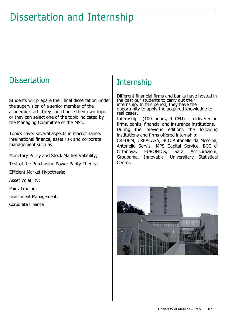## Dissertation and Internship

#### **Dissertation**

Students will prepare their final dissertation under the supervision of a senior member of the academic staff. They can choose their own topic or they can select one of the topic indicated by the Managing Committee of the MSc.

Topics cover several aspects in macrofinance, international finance, asset risk and corporate management such as:

Monetary Policy and Stock Market Volatility;

Test of the Purchasing Power Parity Theory;

Efficient Market Hypothesis;

Asset Volatility;

Pairs Trading;

Investment Management;

**Others** Corporate Finance

#### **Internship**

Center.

Different financial firms and banks have hosted in the past our students to carry out their internship. In this period, they have the opportunity to apply the acquired knowledge to real cases. Internship (100 hours, 4 CFU) is delivered in firms, banks, financial and insurance institutions. During the previous editions the following institutions and firms offered internship: CREDEM, CREACASA, BCC Antonello da Messina, Antonello Servizi, MPS Capital Service, BCC di Cittanova, EURONICS, Sara Assicurazioni, Groupama, Innovabic, Universitary Statistical

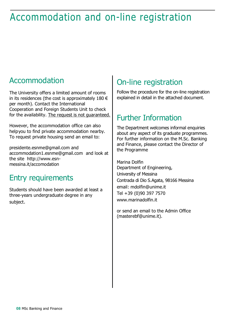## Accommodation and on-line registration

#### Accommodation

The University offers a limited amount of rooms in its residences (the cost is approximately  $180 \in$ per month). Contact the International Cooperation and Foreign Students Unit to check for the availability. The request is not guaranteed.

However, the accommodation office can also helpyou to find private accommodation nearby. To request private housing send an email to:

presidente.esnme@gmail.com and accommodation1.esnme@gmail.com and look at the site http://www.esnmessina.it/accomodation

#### Entry requirements

Students should have been awarded at least a three-years undergraduate degree in any subject.

### On-line registration

Follow the procedure for the on-line registration explained in detail in the attached document.

### Further Information

The Department welcomes informal enquiries about any aspect of its graduate programmes. For further information on the M.Sc. Banking and Finance, please contact the Director of the Programme

Marina Dolfin Department of Engineering, University of Messina Contrada di Dio S.Agata, 98166 Messina email: mdolfin@unime.it Tel +39 (0)90 397 7570 www.marinadolfin.it

nffice **22%** or send an email to the Admin Office (masterebf@unime.it).